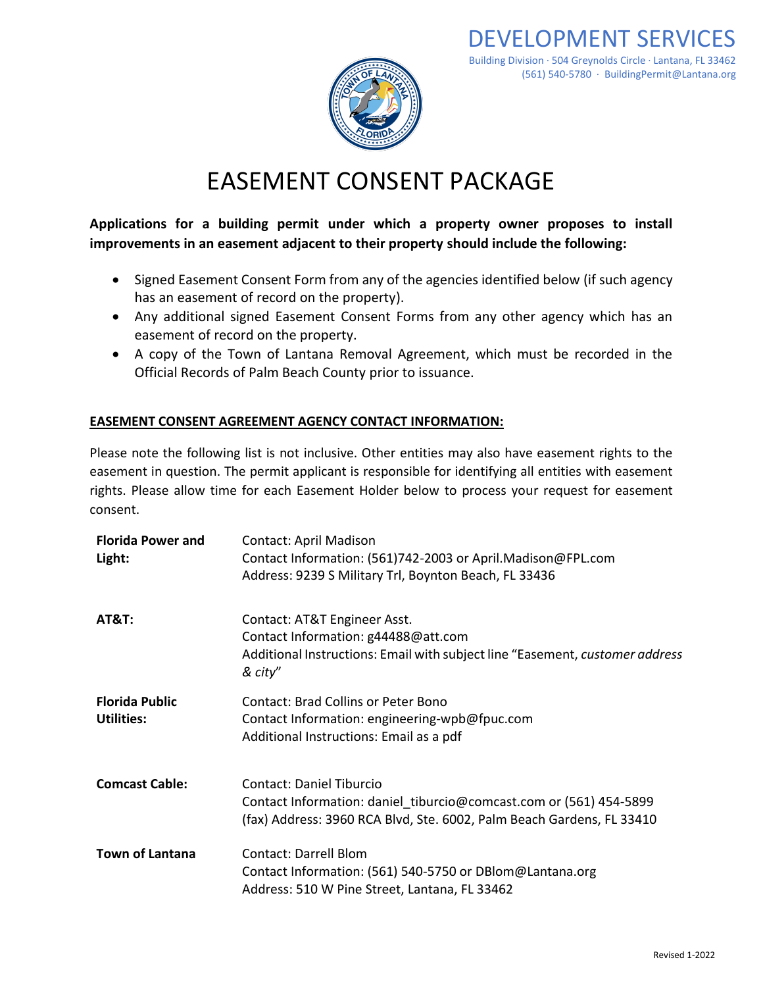

# EASEMENT CONSENT PACKAGE

**Applications for a building permit under which a property owner proposes to install improvements in an easement adjacent to their property should include the following:** 

- Signed Easement Consent Form from any of the agencies identified below (if such agency has an easement of record on the property).
- Any additional signed Easement Consent Forms from any other agency which has an easement of record on the property.
- A copy of the Town of Lantana Removal Agreement, which must be recorded in the Official Records of Palm Beach County prior to issuance.

### **EASEMENT CONSENT AGREEMENT AGENCY CONTACT INFORMATION:**

Please note the following list is not inclusive. Other entities may also have easement rights to the easement in question. The permit applicant is responsible for identifying all entities with easement rights. Please allow time for each Easement Holder below to process your request for easement consent.

| <b>Florida Power and</b><br>Light:         | <b>Contact: April Madison</b><br>Contact Information: (561)742-2003 or April.Madison@FPL.com<br>Address: 9239 S Military Trl, Boynton Beach, FL 33436                          |
|--------------------------------------------|--------------------------------------------------------------------------------------------------------------------------------------------------------------------------------|
| <b>AT&amp;T:</b>                           | Contact: AT&T Engineer Asst.<br>Contact Information: g44488@att.com<br>Additional Instructions: Email with subject line "Easement, customer address<br>& city"                 |
| <b>Florida Public</b><br><b>Utilities:</b> | Contact: Brad Collins or Peter Bono<br>Contact Information: engineering-wpb@fpuc.com<br>Additional Instructions: Email as a pdf                                                |
| <b>Comcast Cable:</b>                      | <b>Contact: Daniel Tiburcio</b><br>Contact Information: daniel_tiburcio@comcast.com or (561) 454-5899<br>(fax) Address: 3960 RCA Blvd, Ste. 6002, Palm Beach Gardens, FL 33410 |
| <b>Town of Lantana</b>                     | <b>Contact: Darrell Blom</b><br>Contact Information: (561) 540-5750 or DBlom@Lantana.org<br>Address: 510 W Pine Street, Lantana, FL 33462                                      |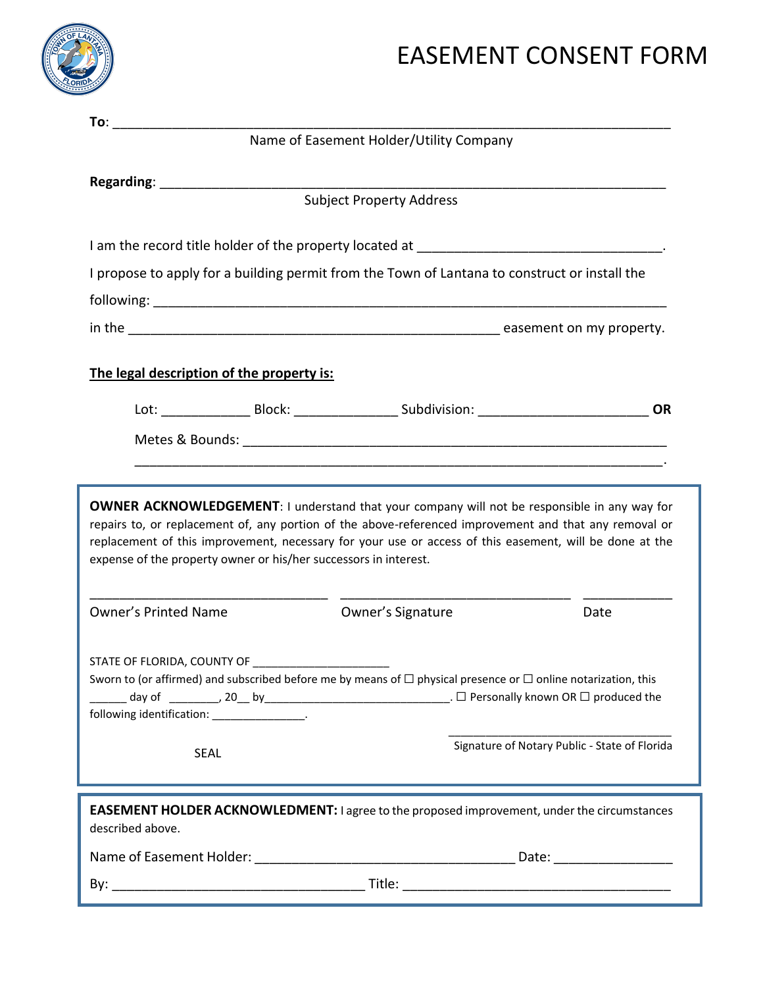

## EASEMENT CONSENT FORM

|                                                                                                                                                                                                                                                                                                                                            | Name of Easement Holder/Utility Company                                                              |           |  |  |  |  |  |
|--------------------------------------------------------------------------------------------------------------------------------------------------------------------------------------------------------------------------------------------------------------------------------------------------------------------------------------------|------------------------------------------------------------------------------------------------------|-----------|--|--|--|--|--|
|                                                                                                                                                                                                                                                                                                                                            |                                                                                                      |           |  |  |  |  |  |
|                                                                                                                                                                                                                                                                                                                                            |                                                                                                      |           |  |  |  |  |  |
|                                                                                                                                                                                                                                                                                                                                            | I am the record title holder of the property located at ________________________________.            |           |  |  |  |  |  |
|                                                                                                                                                                                                                                                                                                                                            | I propose to apply for a building permit from the Town of Lantana to construct or install the        |           |  |  |  |  |  |
|                                                                                                                                                                                                                                                                                                                                            |                                                                                                      |           |  |  |  |  |  |
|                                                                                                                                                                                                                                                                                                                                            |                                                                                                      |           |  |  |  |  |  |
| The legal description of the property is:                                                                                                                                                                                                                                                                                                  |                                                                                                      |           |  |  |  |  |  |
|                                                                                                                                                                                                                                                                                                                                            | Lot: ______________________Block: ________________________Subdivision: _____________________________ | <b>OR</b> |  |  |  |  |  |
|                                                                                                                                                                                                                                                                                                                                            |                                                                                                      |           |  |  |  |  |  |
|                                                                                                                                                                                                                                                                                                                                            |                                                                                                      |           |  |  |  |  |  |
| repairs to, or replacement of, any portion of the above-referenced improvement and that any removal or<br>replacement of this improvement, necessary for your use or access of this easement, will be done at the<br>expense of the property owner or his/her successors in interest.                                                      |                                                                                                      |           |  |  |  |  |  |
| <b>Owner's Printed Name</b>                                                                                                                                                                                                                                                                                                                | Owner's Signature                                                                                    | Date      |  |  |  |  |  |
| Sworn to (or affirmed) and subscribed before me by means of $\Box$ physical presence or $\Box$ online notarization, this<br>day of _________, 20__ by_________________________________. □ Personally known OR □ produced the<br>following identification: _______________.<br>Signature of Notary Public - State of Florida<br><b>SEAL</b> |                                                                                                      |           |  |  |  |  |  |
|                                                                                                                                                                                                                                                                                                                                            |                                                                                                      |           |  |  |  |  |  |
| described above.                                                                                                                                                                                                                                                                                                                           | <b>EASEMENT HOLDER ACKNOWLEDMENT:</b> I agree to the proposed improvement, under the circumstances   |           |  |  |  |  |  |
|                                                                                                                                                                                                                                                                                                                                            |                                                                                                      |           |  |  |  |  |  |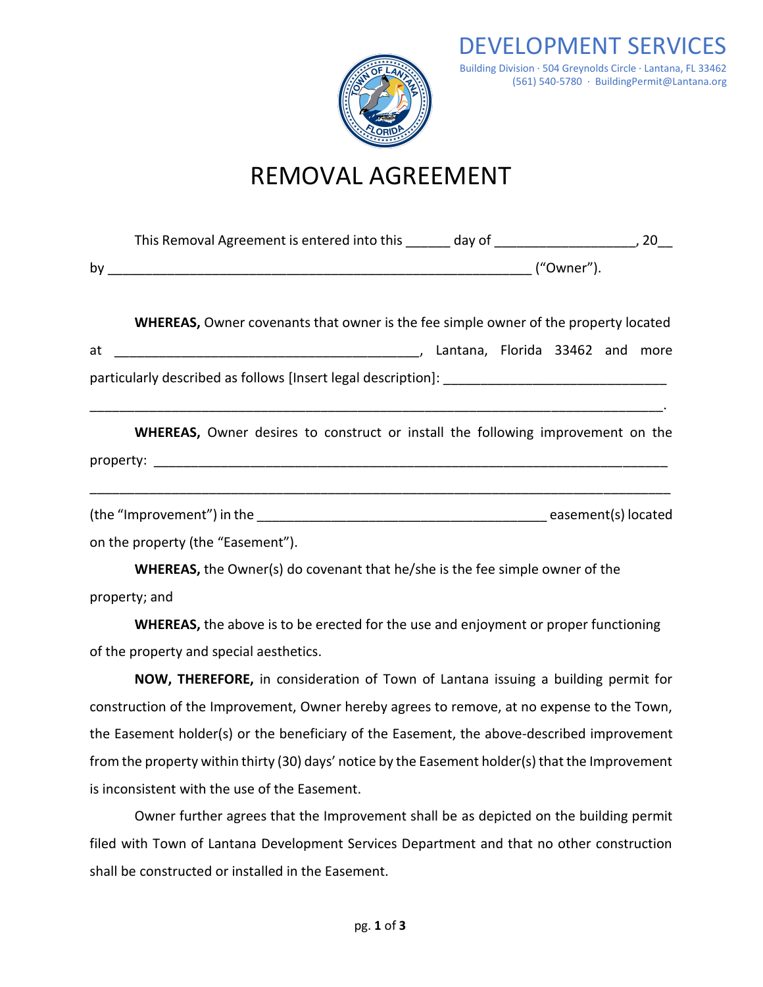

### REMOVAL AGREEMENT

| <b>WHEREAS, Owner covenants that owner is the fee simple owner of the property located</b> |  |  |  |
|--------------------------------------------------------------------------------------------|--|--|--|
|                                                                                            |  |  |  |
|                                                                                            |  |  |  |
| <b>WHEREAS,</b> Owner desires to construct or install the following improvement on the     |  |  |  |
|                                                                                            |  |  |  |

on the property (the "Easement").

**WHEREAS,** the Owner(s) do covenant that he/she is the fee simple owner of the property; and

**WHEREAS,** the above is to be erected for the use and enjoyment or proper functioning of the property and special aesthetics.

**NOW, THEREFORE,** in consideration of Town of Lantana issuing a building permit for construction of the Improvement, Owner hereby agrees to remove, at no expense to the Town, the Easement holder(s) or the beneficiary of the Easement, the above-described improvement from the property within thirty (30) days' notice by the Easement holder(s) that the Improvement is inconsistent with the use of the Easement.

Owner further agrees that the Improvement shall be as depicted on the building permit filed with Town of Lantana Development Services Department and that no other construction shall be constructed or installed in the Easement.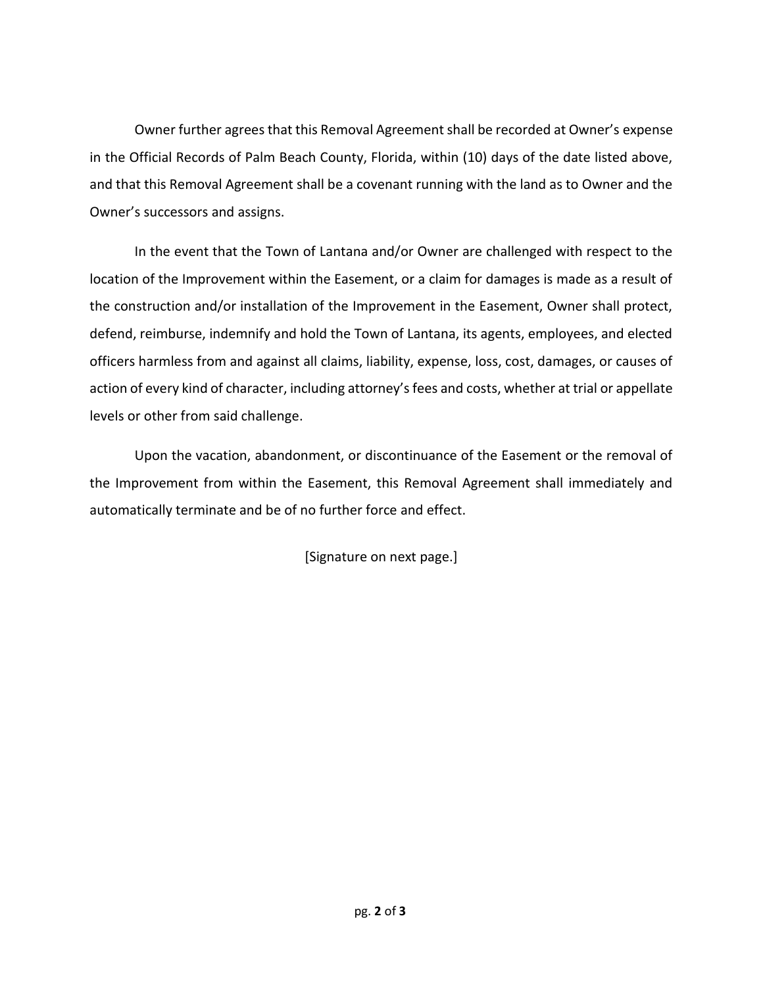Owner further agrees that this Removal Agreement shall be recorded at Owner's expense in the Official Records of Palm Beach County, Florida, within (10) days of the date listed above, and that this Removal Agreement shall be a covenant running with the land as to Owner and the Owner's successors and assigns.

In the event that the Town of Lantana and/or Owner are challenged with respect to the location of the Improvement within the Easement, or a claim for damages is made as a result of the construction and/or installation of the Improvement in the Easement, Owner shall protect, defend, reimburse, indemnify and hold the Town of Lantana, its agents, employees, and elected officers harmless from and against all claims, liability, expense, loss, cost, damages, or causes of action of every kind of character, including attorney's fees and costs, whether at trial or appellate levels or other from said challenge.

Upon the vacation, abandonment, or discontinuance of the Easement or the removal of the Improvement from within the Easement, this Removal Agreement shall immediately and automatically terminate and be of no further force and effect.

[Signature on next page.]